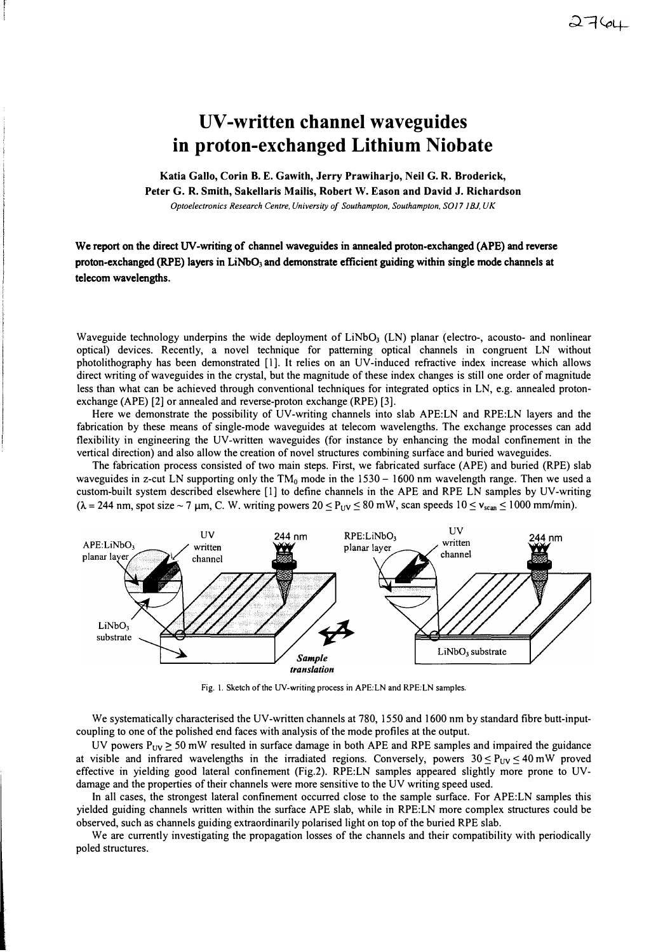## **UV-written channel waveguides in proton-exchanged Lithium Niobate**

**Katia Gallo, Corin B. E. Gawith, Jerry Prawiharjo, Neil G. R. Broderick,** 

**Peter G. R. Smith, Sakellaris Mailis, Robert W. Eason and David J. Richardson** 

*Optoelectronics Research Centre, University of Southampton, Southampton, SOil IBJ, UK* 

We report on the direct UV-writing of channel waveguides in annealed proton-exchanged (APE) and reverse proton-exchanged (RPE) layers in LiNb0**3** and demonstrate efficient guiding within single mode channels at telecom wavelengths.

Waveguide technology underpins the wide deployment of LiNb0**3** (LN) planar (electro-, acousto- and nonlinear optical) devices. Recently, a novel technique for patterning optical channels in congruent LN without photolithography has been demonstrated [!]. It relies on an UV-induced refractive index increase which allows direct writing of waveguides in the crystal, but the magnitude of these index changes is still one order of magnitude less than what can be achieved through conventional techniques for integrated optics in LN, e.g. annealed protonexchange (APE) [2] or annealed and reverse-proton exchange (RPE) [3].

Here we demonstrate the possibility of UV-writing channels into slab APE:LN and RPE:LN layers and the fabrication by these means of single-mode waveguides at telecom wavelengths. The exchange processes can add flexibility in engineering the UV-written waveguides (for instance by enhancing the modal confinement in the vertical direction) and also allow the creation of novel structures combining surface and buried waveguides.

The fabrication process consisted of two main steps. First, we fabricated surface (APE) and buried (RPE) slab waveguides in z-cut LN supporting only the TM<sub>0</sub> mode in the 1530 - 1600 nm wavelength range. Then we used a custom-built system described elsewhere [l] to define channels in the APE and RPE LN samples by UV-writing  $(\lambda = 244 \text{ nm}, \text{spot size} \sim 7 \text{ µm}, \text{C}. \text{W}.$  writing powers  $20 \leq P_{UV} \leq 80 \text{ mW}$ , scan speeds  $10 \leq v_{scan} \leq 1000 \text{ mm/min}$ .



Fig. I. Sketch of the UV-writing process in APE:LN and RPE:LN samples.

We systematically characterised the UV-written channels at 780, 1550 and 1600 nm by standard fibre butt-inputcoupling to one of the polished end faces with analysis of the mode profiles at the output.

UV powers  $P_{UV} \ge 50$  mW resulted in surface damage in both APE and RPE samples and impaired the guidance at visible and infrared wavelengths in the irradiated regions. Conversely, powers  $30 \leq P_{UV} \leq 40$  mW proved effective in yielding good lateral confinement (Fig.2). RPE:LN samples appeared slightly more prone to UVdamage and the properties of their channels were more sensitive to the UV writing speed used.

In all cases, the strongest lateral confinement occurred close to the sample surface. For APE:LN samples this yielded guiding channels written within the surface APE slab, while in RPE:LN more complex structures could be observed, such as channels guiding extraordinarily polarised light on top of the buried RPE slab.

We are currently investigating the propagation losses of the channels and their compatibility with periodically poled structures.